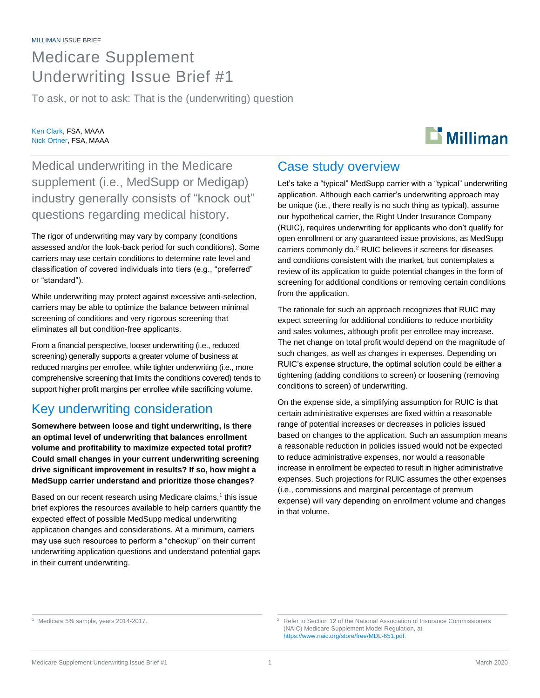# Medicare Supplement Underwriting Issue Brief #1

To ask, or not to ask: That is the (underwriting) question

### Ken Clark, FSA, MAAA Nick Ortner, FSA, MAAA

# $\mathbf{D}$  Milliman

Medical underwriting in the Medicare supplement (i.e., MedSupp or Medigap) industry generally consists of "knock out" questions regarding medical history.

The rigor of underwriting may vary by company (conditions assessed and/or the look-back period for such conditions). Some carriers may use certain conditions to determine rate level and classification of covered individuals into tiers (e.g., "preferred" or "standard").

While underwriting may protect against excessive anti-selection, carriers may be able to optimize the balance between minimal screening of conditions and very rigorous screening that eliminates all but condition-free applicants.

From a financial perspective, looser underwriting (i.e., reduced screening) generally supports a greater volume of business at reduced margins per enrollee, while tighter underwriting (i.e., more comprehensive screening that limits the conditions covered) tends to support higher profit margins per enrollee while sacrificing volume.

# Key underwriting consideration

**Somewhere between loose and tight underwriting, is there an optimal level of underwriting that balances enrollment volume and profitability to maximize expected total profit? Could small changes in your current underwriting screening drive significant improvement in results? If so, how might a MedSupp carrier understand and prioritize those changes?**

Based on our recent research using Medicare claims,<sup>1</sup> this issue brief explores the resources available to help carriers quantify the expected effect of possible MedSupp medical underwriting application changes and considerations. At a minimum, carriers may use such resources to perform a "checkup" on their current underwriting application questions and understand potential gaps in their current underwriting.

# Case study overview

Let's take a "typical" MedSupp carrier with a "typical" underwriting application. Although each carrier's underwriting approach may be unique (i.e., there really is no such thing as typical), assume our hypothetical carrier, the Right Under Insurance Company (RUIC), requires underwriting for applicants who don't qualify for open enrollment or any guaranteed issue provisions, as MedSupp carriers commonly do.<sup>2</sup> RUIC believes it screens for diseases and conditions consistent with the market, but contemplates a review of its application to guide potential changes in the form of screening for additional conditions or removing certain conditions from the application.

The rationale for such an approach recognizes that RUIC may expect screening for additional conditions to reduce morbidity and sales volumes, although profit per enrollee may increase. The net change on total profit would depend on the magnitude of such changes, as well as changes in expenses. Depending on RUIC's expense structure, the optimal solution could be either a tightening (adding conditions to screen) or loosening (removing conditions to screen) of underwriting.

On the expense side, a simplifying assumption for RUIC is that certain administrative expenses are fixed within a reasonable range of potential increases or decreases in policies issued based on changes to the application. Such an assumption means a reasonable reduction in policies issued would not be expected to reduce administrative expenses, nor would a reasonable increase in enrollment be expected to result in higher administrative expenses. Such projections for RUIC assumes the other expenses (i.e., commissions and marginal percentage of premium expense) will vary depending on enrollment volume and changes in that volume.

<sup>1</sup> Medicare 5% sample, years 2014-2017.

<sup>&</sup>lt;sup>2</sup> Refer to Section 12 of the National Association of Insurance Commissioners (NAIC) Medicare Supplement Model Regulation, at https://www.naic.org/store/free/MDL-651.pdf.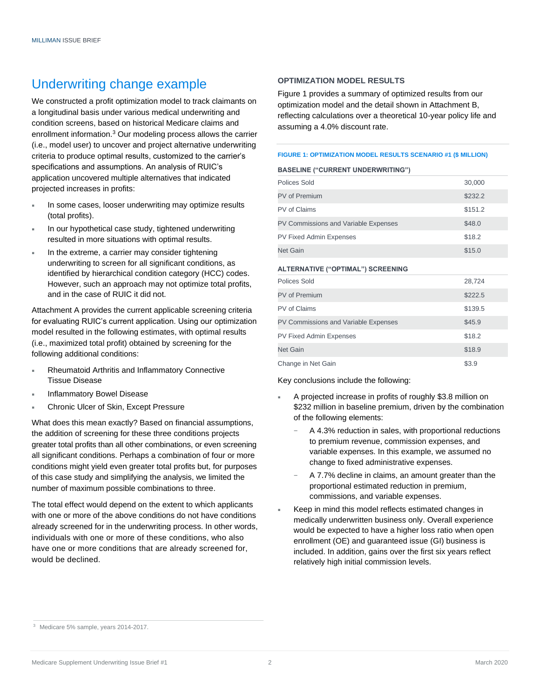# Underwriting change example

We constructed a profit optimization model to track claimants on a longitudinal basis under various medical underwriting and condition screens, based on historical Medicare claims and enrollment information.<sup>3</sup> Our modeling process allows the carrier (i.e., model user) to uncover and project alternative underwriting criteria to produce optimal results, customized to the carrier's specifications and assumptions. An analysis of RUIC's application uncovered multiple alternatives that indicated projected increases in profits:

- In some cases, looser underwriting may optimize results (total profits).
- In our hypothetical case study, tightened underwriting resulted in more situations with optimal results.
- In the extreme, a carrier may consider tightening underwriting to screen for all significant conditions, as identified by hierarchical condition category (HCC) codes. However, such an approach may not optimize total profits, and in the case of RUIC it did not.

Attachment A provides the current applicable screening criteria for evaluating RUIC's current application. Using our optimization model resulted in the following estimates, with optimal results (i.e., maximized total profit) obtained by screening for the following additional conditions:

- Rheumatoid Arthritis and Inflammatory Connective Tissue Disease
- Inflammatory Bowel Disease
- Chronic Ulcer of Skin, Except Pressure

What does this mean exactly? Based on financial assumptions, the addition of screening for these three conditions projects greater total profits than all other combinations, or even screening all significant conditions. Perhaps a combination of four or more conditions might yield even greater total profits but, for purposes of this case study and simplifying the analysis, we limited the number of maximum possible combinations to three.

The total effect would depend on the extent to which applicants with one or more of the above conditions do not have conditions already screened for in the underwriting process. In other words, individuals with one or more of these conditions, who also have one or more conditions that are already screened for, would be declined.

### **OPTIMIZATION MODEL RESULTS**

Figure 1 provides a summary of optimized results from our optimization model and the detail shown in Attachment B, reflecting calculations over a theoretical 10-year policy life and assuming a 4.0% discount rate.

#### **FIGURE 1: OPTIMIZATION MODEL RESULTS SCENARIO #1 (\$ MILLION)**

#### **BASELINE ("CURRENT UNDERWRITING")**

| Polices Sold                         | 30,000  |
|--------------------------------------|---------|
| PV of Premium                        | \$232.2 |
| PV of Claims                         | \$151.2 |
| PV Commissions and Variable Expenses | \$48.0  |
| <b>PV Fixed Admin Expenses</b>       | \$18.2  |
| <b>Net Gain</b>                      | \$15.0  |

#### **ALTERNATIVE ("OPTIMAL") SCREENING**

| Polices Sold                         | 28,724  |
|--------------------------------------|---------|
| <b>PV of Premium</b>                 | \$222.5 |
| PV of Claims                         | \$139.5 |
| PV Commissions and Variable Expenses | \$45.9  |
| PV Fixed Admin Expenses              | \$18.2  |
| <b>Net Gain</b>                      | \$18.9  |
| Change in Net Gain                   | \$3.9   |

Key conclusions include the following:

- A projected increase in profits of roughly \$3.8 million on \$232 million in baseline premium, driven by the combination of the following elements:
	- A 4.3% reduction in sales, with proportional reductions to premium revenue, commission expenses, and variable expenses. In this example, we assumed no change to fixed administrative expenses.
	- A 7.7% decline in claims, an amount greater than the proportional estimated reduction in premium, commissions, and variable expenses.
- Keep in mind this model reflects estimated changes in medically underwritten business only. Overall experience would be expected to have a higher loss ratio when open enrollment (OE) and guaranteed issue (GI) business is included. In addition, gains over the first six years reflect relatively high initial commission levels.

<sup>3</sup> Medicare 5% sample, years 2014-2017.

Medicare Supplement Underwriting Issue Brief #1 2 2 2 2 2 March 2020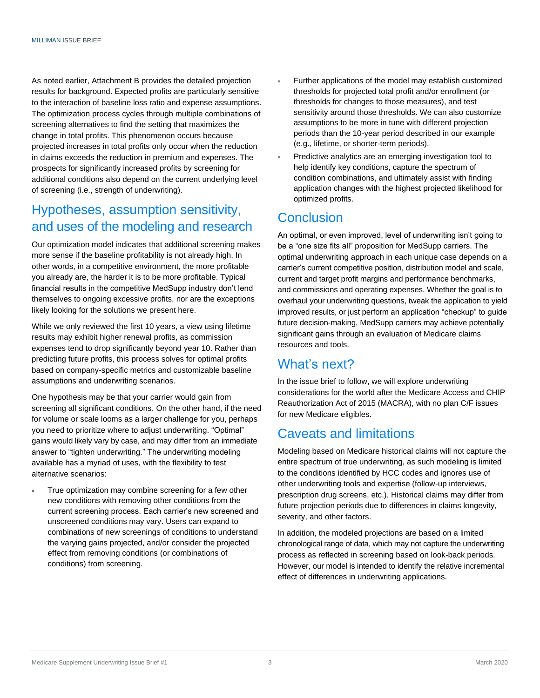As noted earlier, Attachment B provides the detailed projection results for background. Expected profits are particularly sensitive to the interaction of baseline loss ratio and expense assumptions. The optimization process cycles through multiple combinations of screening alternatives to find the setting that maximizes the change in total profits. This phenomenon occurs because projected increases in total profits only occur when the reduction in claims exceeds the reduction in premium and expenses. The prospects for significantly increased profits by screening for additional conditions also depend on the current underlying level of screening (i.e., strength of underwriting).

# Hypotheses, assumption sensitivity, and uses of the modeling and research

Our optimization model indicates that additional screening makes more sense if the baseline profitability is not already high. In other words, in a competitive environment, the more profitable you already are, the harder it is to be more profitable. Typical financial results in the competitive MedSupp industry don't lend themselves to ongoing excessive profits, nor are the exceptions likely looking for the solutions we present here.

While we only reviewed the first 10 years, a view using lifetime results may exhibit higher renewal profits, as commission expenses tend to drop significantly beyond year 10. Rather than predicting future profits, this process solves for optimal profits based on company-specific metrics and customizable baseline assumptions and underwriting scenarios.

One hypothesis may be that your carrier would gain from screening all significant conditions. On the other hand, if the need for volume or scale looms as a larger challenge for you, perhaps you need to prioritize where to adjust underwriting. "Optimal" gains would likely vary by case, and may differ from an immediate answer to "tighten underwriting." The underwriting modeling available has a myriad of uses, with the flexibility to test alternative scenarios:

 True optimization may combine screening for a few other new conditions with removing other conditions from the current screening process. Each carrier's new screened and unscreened conditions may vary. Users can expand to combinations of new screenings of conditions to understand the varying gains projected, and/or consider the projected effect from removing conditions (or combinations of conditions) from screening.

- Further applications of the model may establish customized thresholds for projected total profit and/or enrollment (or thresholds for changes to those measures), and test sensitivity around those thresholds. We can also customize assumptions to be more in tune with different projection periods than the 10-year period described in our example (e.g., lifetime, or shorter-term periods).
- Predictive analytics are an emerging investigation tool to help identify key conditions, capture the spectrum of condition combinations, and ultimately assist with finding application changes with the highest projected likelihood for optimized profits.

## **Conclusion**

An optimal, or even improved, level of underwriting isn't going to be a "one size fits all" proposition for MedSupp carriers. The optimal underwriting approach in each unique case depends on a carrier's current competitive position, distribution model and scale, current and target profit margins and performance benchmarks, and commissions and operating expenses. Whether the goal is to overhaul your underwriting questions, tweak the application to yield improved results, or just perform an application "checkup" to guide future decision-making, MedSupp carriers may achieve potentially significant gains through an evaluation of Medicare claims resources and tools.

## What's next?

In the issue brief to follow, we will explore underwriting considerations for the world after the Medicare Access and CHIP Reauthorization Act of 2015 (MACRA), with no plan C/F issues for new Medicare eligibles.

## Caveats and limitations

Modeling based on Medicare historical claims will not capture the entire spectrum of true underwriting, as such modeling is limited to the conditions identified by HCC codes and ignores use of other underwriting tools and expertise (follow-up interviews, prescription drug screens, etc.). Historical claims may differ from future projection periods due to differences in claims longevity, severity, and other factors.

In addition, the modeled projections are based on a limited chronological range of data, which may not capture the underwriting process as reflected in screening based on look-back periods. However, our model is intended to identify the relative incremental effect of differences in underwriting applications.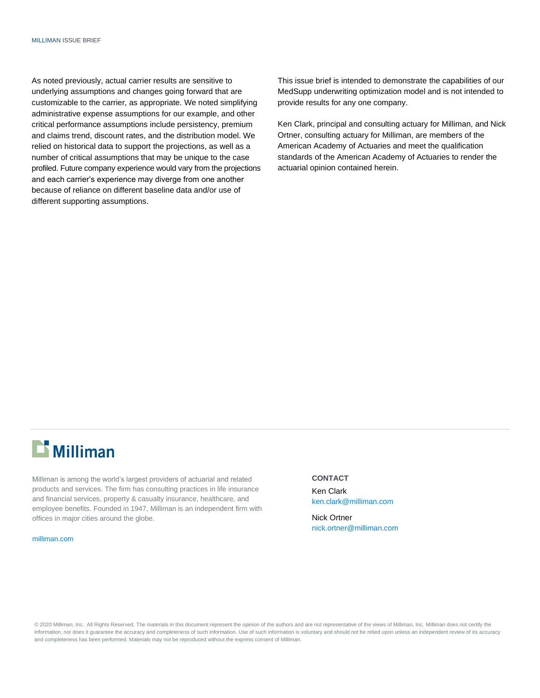As noted previously, actual carrier results are sensitive to underlying assumptions and changes going forward that are customizable to the carrier, as appropriate. We noted simplifying administrative expense assumptions for our example, and other critical performance assumptions include persistency, premium and claims trend, discount rates, and the distribution model. We relied on historical data to support the projections, as well as a number of critical assumptions that may be unique to the case profiled. Future company experience would vary from the projections and each carrier's experience may diverge from one another because of reliance on different baseline data and/or use of different supporting assumptions.

This issue brief is intended to demonstrate the capabilities of our MedSupp underwriting optimization model and is not intended to provide results for any one company.

Ken Clark, principal and consulting actuary for Milliman, and Nick Ortner, consulting actuary for Milliman, are members of the American Academy of Actuaries and meet the qualification standards of the American Academy of Actuaries to render the actuarial opinion contained herein.

# $\mathbf{D}$  Milliman

Milliman is among the world's largest providers of actuarial and related products and services. The firm has consulting practices in life insurance and financial services, property & casualty insurance, healthcare, and employee benefits. Founded in 1947, Milliman is an independent firm with offices in major cities around the globe.

#### [milliman.com](http://www.milliman.com/)

#### **CONTACT**

Ken Clark [ken.clark@milliman.com](mailto:ken.clark@milliman.com)

Nick Ortner [nick.ortner@milliman.com](mailto:nick.ortner@milliman.com)

© 2020 Milliman, Inc. All Rights Reserved. The materials in this document represent the opinion of the authors and are not representative of the views of Milliman, Inc. Milliman does not certify the information, nor does it guarantee the accuracy and completeness of such information. Use of such information is voluntary and should not be relied upon unless an independent review of its accuracy and completeness has been performed. Materials may not be reproduced without the express consent of Milliman.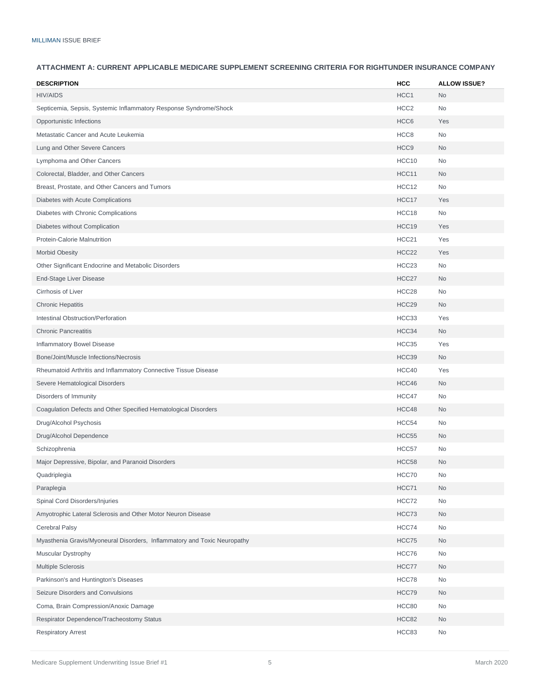### **ATTACHMENT A: CURRENT APPLICABLE MEDICARE SUPPLEMENT SCREENING CRITERIA FOR RIGHTUNDER INSURANCE COMPANY**

| <b>DESCRIPTION</b>                                                       | <b>HCC</b>        | <b>ALLOW ISSUE?</b> |
|--------------------------------------------------------------------------|-------------------|---------------------|
| <b>HIV/AIDS</b>                                                          | HCC1              | No                  |
| Septicemia, Sepsis, Systemic Inflammatory Response Syndrome/Shock        | HCC <sub>2</sub>  | No                  |
| Opportunistic Infections                                                 | HCC <sub>6</sub>  | Yes                 |
| Metastatic Cancer and Acute Leukemia                                     | HCC <sub>8</sub>  | <b>No</b>           |
| Lung and Other Severe Cancers                                            | HCC <sub>9</sub>  | <b>No</b>           |
| Lymphoma and Other Cancers                                               | HCC10             | <b>No</b>           |
| Colorectal, Bladder, and Other Cancers                                   | HCC11             | <b>No</b>           |
| Breast, Prostate, and Other Cancers and Tumors                           | HCC12             | <b>No</b>           |
| Diabetes with Acute Complications                                        | HCC17             | Yes                 |
| Diabetes with Chronic Complications                                      | HCC18             | <b>No</b>           |
| Diabetes without Complication                                            | HCC19             | Yes                 |
| Protein-Calorie Malnutrition                                             | HCC21             | Yes                 |
| <b>Morbid Obesity</b>                                                    | HCC <sub>22</sub> | Yes                 |
| Other Significant Endocrine and Metabolic Disorders                      | HCC <sub>23</sub> | No                  |
| End-Stage Liver Disease                                                  | HCC27             | No                  |
| Cirrhosis of Liver                                                       | HCC28             | <b>No</b>           |
| <b>Chronic Hepatitis</b>                                                 | HCC29             | <b>No</b>           |
| Intestinal Obstruction/Perforation                                       | HCC33             | Yes                 |
| <b>Chronic Pancreatitis</b>                                              | HCC34             | No                  |
| Inflammatory Bowel Disease                                               | HCC35             | Yes                 |
| Bone/Joint/Muscle Infections/Necrosis                                    | HCC39             | <b>No</b>           |
| Rheumatoid Arthritis and Inflammatory Connective Tissue Disease          | HCC40             | Yes                 |
| Severe Hematological Disorders                                           | HCC46             | No                  |
| Disorders of Immunity                                                    | HCC47             | <b>No</b>           |
| Coagulation Defects and Other Specified Hematological Disorders          | HCC48             | <b>No</b>           |
| Drug/Alcohol Psychosis                                                   | HCC54             | No                  |
| Drug/Alcohol Dependence                                                  | HCC55             | <b>No</b>           |
| Schizophrenia                                                            | HCC57             | <b>No</b>           |
| Major Depressive, Bipolar, and Paranoid Disorders                        | HCC58             | <b>No</b>           |
| Quadriplegia                                                             | HCC70             | No                  |
| Paraplegia                                                               | HCC71             | No                  |
| Spinal Cord Disorders/Injuries                                           | HCC72             | No                  |
| Amyotrophic Lateral Sclerosis and Other Motor Neuron Disease             | HCC73             | No                  |
| Cerebral Palsy                                                           | HCC74             | No                  |
| Myasthenia Gravis/Myoneural Disorders, Inflammatory and Toxic Neuropathy | HCC75             | No                  |
| Muscular Dystrophy                                                       | HCC76             | No                  |
| <b>Multiple Sclerosis</b>                                                | HCC77             | No                  |
| Parkinson's and Huntington's Diseases                                    | HCC78             | No                  |
| Seizure Disorders and Convulsions                                        | HCC79             | No                  |
| Coma, Brain Compression/Anoxic Damage                                    | HCC80             | No                  |
| Respirator Dependence/Tracheostomy Status                                | HCC82             | No                  |
| <b>Respiratory Arrest</b>                                                | HCC83             | No                  |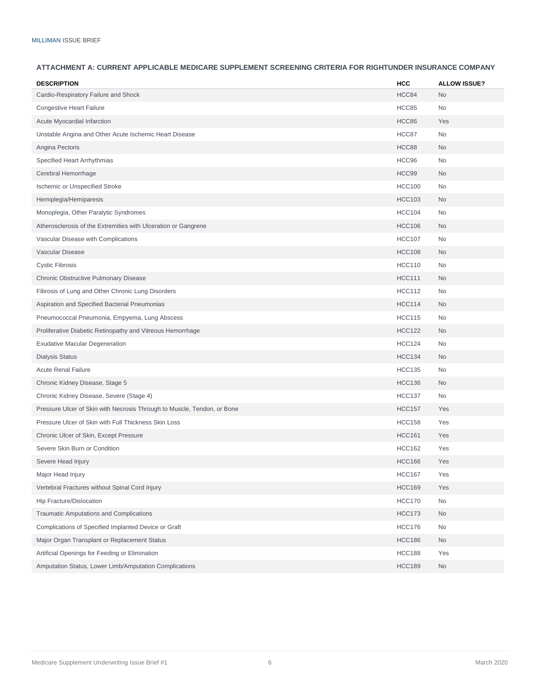#### **ATTACHMENT A: CURRENT APPLICABLE MEDICARE SUPPLEMENT SCREENING CRITERIA FOR RIGHTUNDER INSURANCE COMPANY**

| <b>DESCRIPTION</b>                                                      | <b>HCC</b>    | <b>ALLOW ISSUE?</b> |
|-------------------------------------------------------------------------|---------------|---------------------|
| Cardio-Respiratory Failure and Shock                                    | HCC84         | <b>No</b>           |
| <b>Congestive Heart Failure</b>                                         | HCC85         | <b>No</b>           |
| Acute Myocardial Infarction                                             | HCC86         | Yes                 |
| Unstable Angina and Other Acute Ischemic Heart Disease                  | HCC87         | <b>No</b>           |
| Angina Pectoris                                                         | HCC88         | <b>No</b>           |
| Specified Heart Arrhythmias                                             | HCC96         | No                  |
| Cerebral Hemorrhage                                                     | HCC99         | No                  |
| <b>Ischemic or Unspecified Stroke</b>                                   | <b>HCC100</b> | <b>No</b>           |
| Hemiplegia/Hemiparesis                                                  | <b>HCC103</b> | No.                 |
| Monoplegia, Other Paralytic Syndromes                                   | <b>HCC104</b> | <b>No</b>           |
| Atherosclerosis of the Extremities with Ulceration or Gangrene          | <b>HCC106</b> | <b>No</b>           |
| Vascular Disease with Complications                                     | <b>HCC107</b> | <b>No</b>           |
| Vascular Disease                                                        | <b>HCC108</b> | <b>No</b>           |
| <b>Cystic Fibrosis</b>                                                  | <b>HCC110</b> | <b>No</b>           |
| Chronic Obstructive Pulmonary Disease                                   | <b>HCC111</b> | No                  |
| Fibrosis of Lung and Other Chronic Lung Disorders                       | <b>HCC112</b> | <b>No</b>           |
| Aspiration and Specified Bacterial Pneumonias                           | <b>HCC114</b> | <b>No</b>           |
| Pneumococcal Pneumonia, Empyema, Lung Abscess                           | <b>HCC115</b> | <b>No</b>           |
| Proliferative Diabetic Retinopathy and Vitreous Hemorrhage              | <b>HCC122</b> | No                  |
| <b>Exudative Macular Degeneration</b>                                   | <b>HCC124</b> | <b>No</b>           |
| <b>Dialysis Status</b>                                                  | <b>HCC134</b> | <b>No</b>           |
| <b>Acute Renal Failure</b>                                              | <b>HCC135</b> | <b>No</b>           |
| Chronic Kidney Disease, Stage 5                                         | <b>HCC136</b> | <b>No</b>           |
| Chronic Kidney Disease, Severe (Stage 4)                                | <b>HCC137</b> | <b>No</b>           |
| Pressure Ulcer of Skin with Necrosis Through to Muscle, Tendon, or Bone | <b>HCC157</b> | Yes                 |
| Pressure Ulcer of Skin with Full Thickness Skin Loss                    | <b>HCC158</b> | Yes                 |
| Chronic Ulcer of Skin, Except Pressure                                  | <b>HCC161</b> | Yes                 |
| Severe Skin Burn or Condition                                           | <b>HCC162</b> | Yes                 |
| Severe Head Injury                                                      | <b>HCC166</b> | Yes                 |
| Major Head Injury                                                       | <b>HCC167</b> | Yes                 |
| Vertebral Fractures without Spinal Cord Injury                          | <b>HCC169</b> | Yes                 |
| Hip Fracture/Dislocation                                                | <b>HCC170</b> | No                  |
| Traumatic Amputations and Complications                                 | <b>HCC173</b> | No                  |
| Complications of Specified Implanted Device or Graft                    | <b>HCC176</b> | No                  |
| Major Organ Transplant or Replacement Status                            | <b>HCC186</b> | No                  |
| Artificial Openings for Feeding or Elimination                          | <b>HCC188</b> | Yes                 |
| Amputation Status, Lower Limb/Amputation Complications                  | <b>HCC189</b> | No                  |